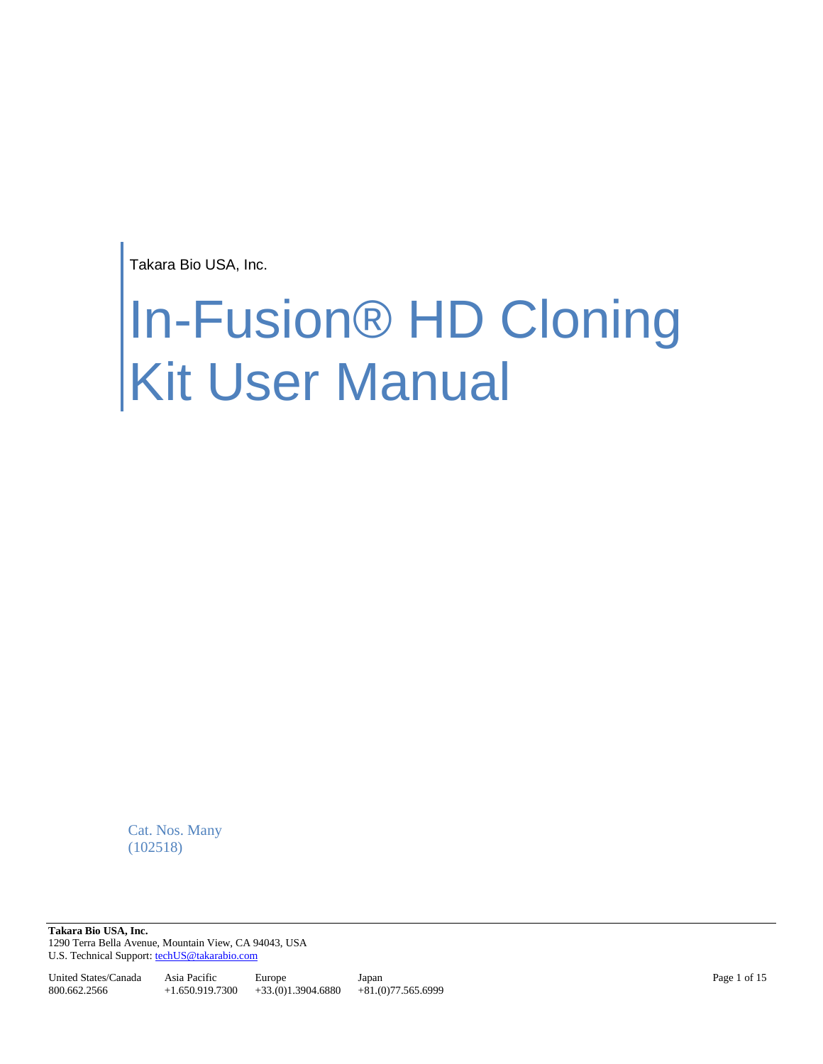Takara Bio USA, Inc.

# In-Fusion® HD Cloning Kit User Manual

Cat. Nos. Many (102518)

**Takara Bio USA, Inc.**  1290 Terra Bella Avenue, Mountain View, CA 94043, USA U.S. Technical Support[: techUS@takarabio.com](mailto:techUS@takarabio.com)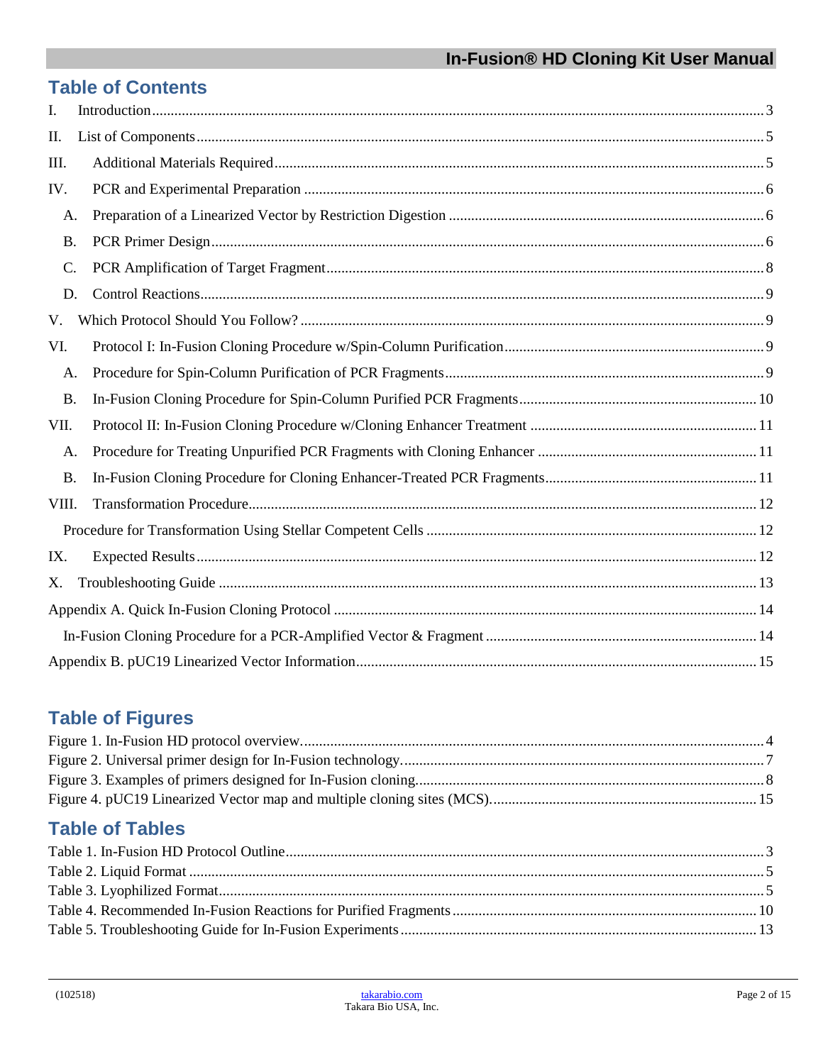# **Table of Contents**

| I.        |  |
|-----------|--|
| Π.        |  |
| Ш.        |  |
| IV.       |  |
| A.        |  |
| <b>B.</b> |  |
| C.        |  |
| D.        |  |
| V.        |  |
| VI.       |  |
| A.        |  |
| <b>B.</b> |  |
| VII.      |  |
| A.        |  |
| <b>B.</b> |  |
| VIII.     |  |
|           |  |
| IX.       |  |
| Χ.        |  |
|           |  |
|           |  |
|           |  |

# **Table of Figures**

# **Table of Tables**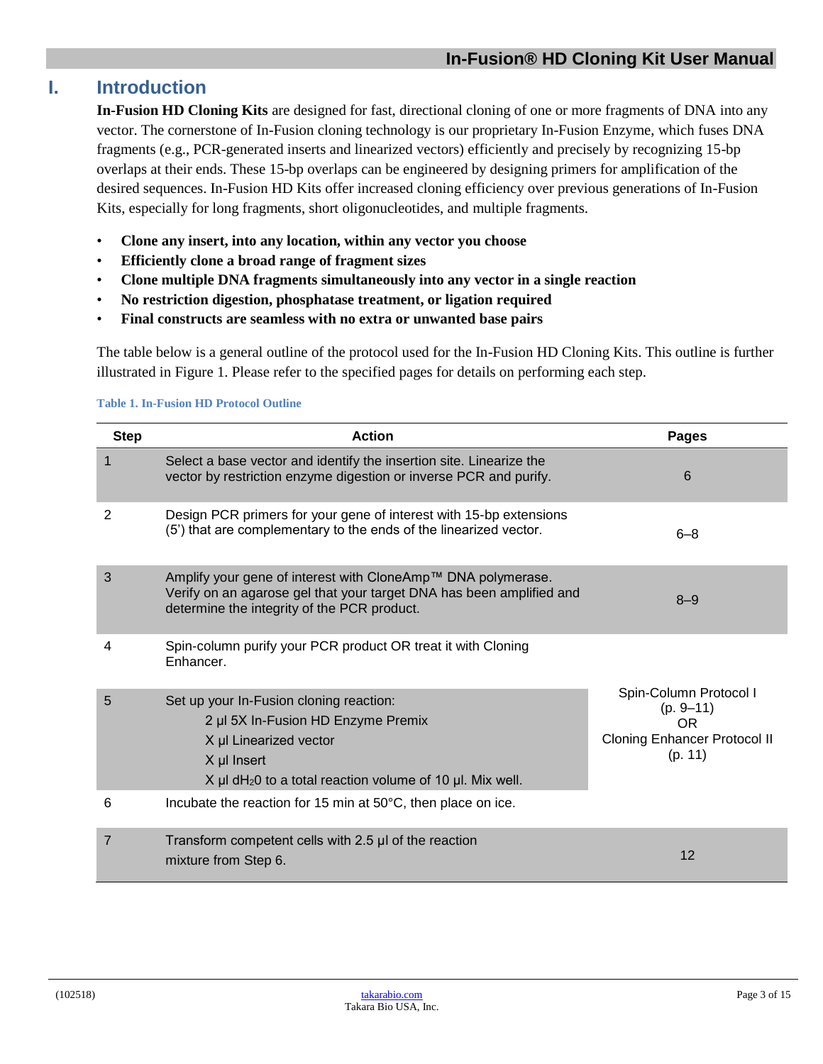# <span id="page-2-0"></span>**I. Introduction**

**In-Fusion HD Cloning Kits** are designed for fast, directional cloning of one or more fragments of DNA into any vector. The cornerstone of In-Fusion cloning technology is our proprietary In-Fusion Enzyme, which fuses DNA fragments (e.g., PCR-generated inserts and linearized vectors) efficiently and precisely by recognizing 15-bp overlaps at their ends. These 15-bp overlaps can be engineered by designing primers for amplification of the desired sequences. In-Fusion HD Kits offer increased cloning efficiency over previous generations of In-Fusion Kits, especially for long fragments, short oligonucleotides, and multiple fragments.

- **Clone any insert, into any location, within any vector you choose**
- **Efficiently clone a broad range of fragment sizes**
- **Clone multiple DNA fragments simultaneously into any vector in a single reaction**
- **No restriction digestion, phosphatase treatment, or ligation required**
- **Final constructs are seamless with no extra or unwanted base pairs**

The table below is a general outline of the protocol used for the In-Fusion HD Cloning Kits. This outline is further illustrated in Figure 1. Please refer to the specified pages for details on performing each step.

#### <span id="page-2-1"></span>**Table 1. In-Fusion HD Protocol Outline**

| <b>Step</b> | <b>Action</b>                                                                                                                                                                                     | <b>Pages</b>                                                                                     |
|-------------|---------------------------------------------------------------------------------------------------------------------------------------------------------------------------------------------------|--------------------------------------------------------------------------------------------------|
| 1           | Select a base vector and identify the insertion site. Linearize the<br>vector by restriction enzyme digestion or inverse PCR and purify.                                                          | 6                                                                                                |
| 2           | Design PCR primers for your gene of interest with 15-bp extensions<br>(5') that are complementary to the ends of the linearized vector.                                                           | $6 - 8$                                                                                          |
| 3           | Amplify your gene of interest with CloneAmp™ DNA polymerase.<br>Verify on an agarose gel that your target DNA has been amplified and<br>determine the integrity of the PCR product.               | $8 - 9$                                                                                          |
| 4           | Spin-column purify your PCR product OR treat it with Cloning<br>Enhancer.                                                                                                                         |                                                                                                  |
| 5           | Set up your In-Fusion cloning reaction:<br>2 µl 5X In-Fusion HD Enzyme Premix<br>X µl Linearized vector<br>X µl Insert<br>$X$ µl dH <sub>2</sub> 0 to a total reaction volume of 10 µl. Mix well. | Spin-Column Protocol I<br>$(p. 9 - 11)$<br>OR.<br><b>Cloning Enhancer Protocol II</b><br>(p. 11) |
| 6           | Incubate the reaction for 15 min at 50°C, then place on ice.                                                                                                                                      |                                                                                                  |
| 7           | Transform competent cells with 2.5 µl of the reaction<br>mixture from Step 6.                                                                                                                     | 12                                                                                               |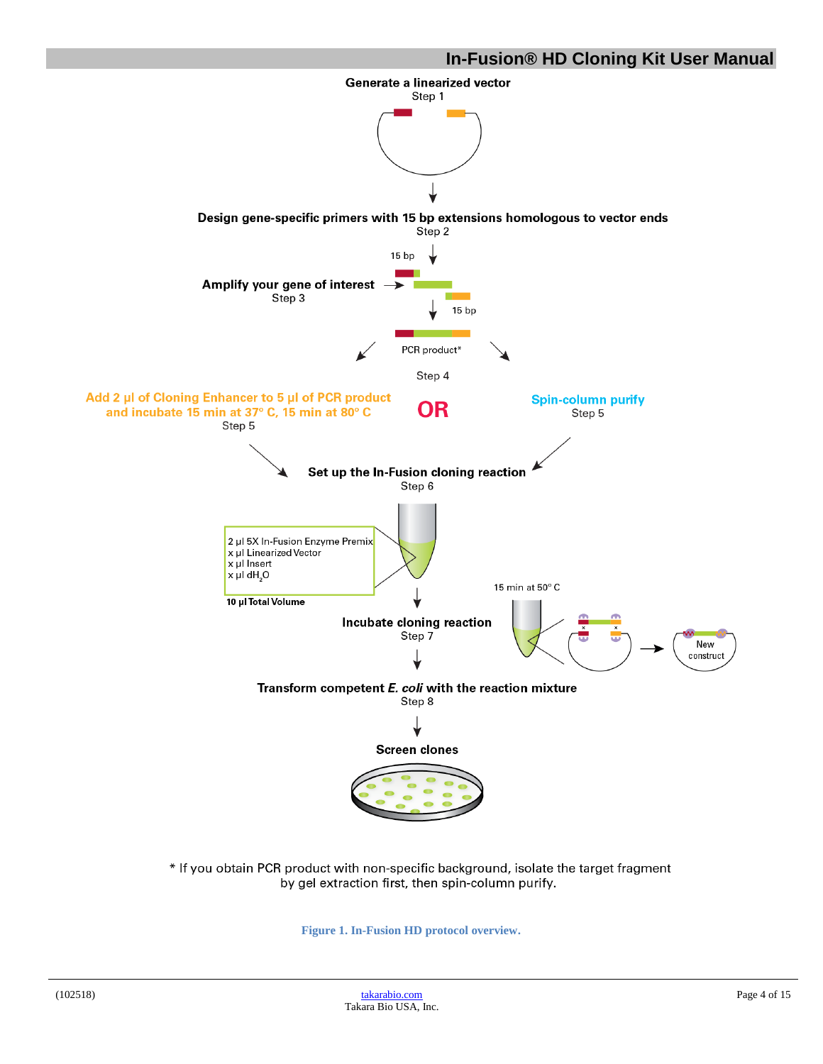

<span id="page-3-0"></span>\* If you obtain PCR product with non-specific background, isolate the target fragment by gel extraction first, then spin-column purify.

**Figure 1. In-Fusion HD protocol overview.**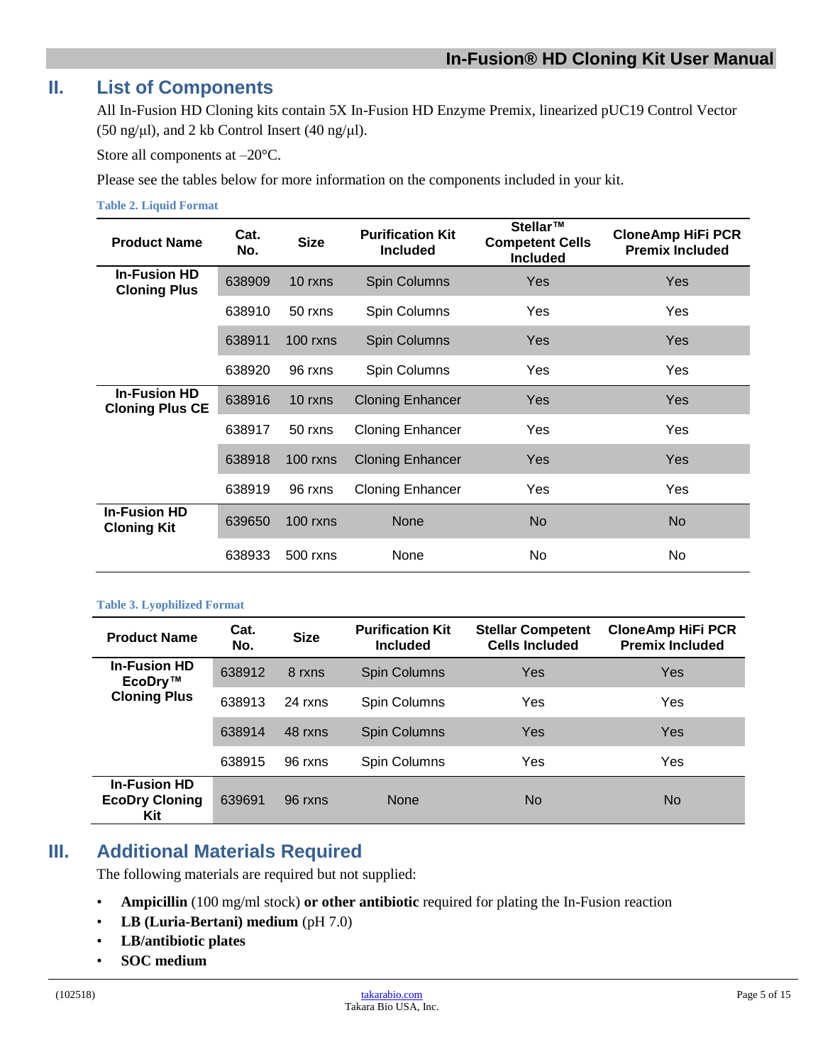## <span id="page-4-0"></span>**II. List of Components**

All In-Fusion HD Cloning kits contain 5X In-Fusion HD Enzyme Premix, linearized pUC19 Control Vector (50 ng/μl), and 2 kb Control Insert (40 ng/μl).

Store all components at –20°C.

Please see the tables below for more information on the components included in your kit.

<span id="page-4-2"></span>**Table 2. Liquid Format**

| <b>Product Name</b>                           | Cat.<br>No. | <b>Size</b> | <b>Purification Kit</b><br><b>Included</b> | Stellar™<br><b>Competent Cells</b><br><b>Included</b> | <b>CloneAmp HiFi PCR</b><br><b>Premix Included</b> |
|-----------------------------------------------|-------------|-------------|--------------------------------------------|-------------------------------------------------------|----------------------------------------------------|
| <b>In-Fusion HD</b><br><b>Cloning Plus</b>    | 638909      | 10 rxns     | Spin Columns                               | Yes                                                   | <b>Yes</b>                                         |
|                                               | 638910      | 50 rxns     | Spin Columns                               | Yes                                                   | Yes                                                |
|                                               | 638911      | $100$ rxns  | Spin Columns                               | Yes                                                   | Yes                                                |
|                                               | 638920      | 96 rxns     | Spin Columns                               | Yes                                                   | Yes                                                |
| <b>In-Fusion HD</b><br><b>Cloning Plus CE</b> | 638916      | 10 rxns     | <b>Cloning Enhancer</b>                    | Yes                                                   | <b>Yes</b>                                         |
|                                               | 638917      | 50 rxns     | <b>Cloning Enhancer</b>                    | Yes                                                   | Yes                                                |
|                                               | 638918      | $100$ rxns  | <b>Cloning Enhancer</b>                    | Yes                                                   | Yes                                                |
|                                               | 638919      | 96 rxns     | <b>Cloning Enhancer</b>                    | Yes                                                   | Yes                                                |
| <b>In-Fusion HD</b><br><b>Cloning Kit</b>     | 639650      | 100 rxns    | <b>None</b>                                | No.                                                   | No.                                                |
|                                               | 638933      | 500 rxns    | None                                       | No.                                                   | No.                                                |

#### <span id="page-4-3"></span>**Table 3. Lyophilized Format**

| <b>Product Name</b>                                 | Cat.<br>No. | <b>Size</b> | <b>Purification Kit</b><br><b>Included</b> | <b>Stellar Competent</b><br><b>Cells Included</b> | <b>CloneAmp HiFi PCR</b><br><b>Premix Included</b> |
|-----------------------------------------------------|-------------|-------------|--------------------------------------------|---------------------------------------------------|----------------------------------------------------|
| <b>In-Fusion HD</b><br>EcoDry™                      | 638912      | 8 rxns      | Spin Columns                               | Yes                                               | Yes                                                |
| <b>Cloning Plus</b>                                 | 638913      | 24 rxns     | Spin Columns                               | Yes                                               | Yes                                                |
|                                                     | 638914      | 48 rxns     | Spin Columns                               | Yes                                               | Yes                                                |
|                                                     | 638915      | 96 rxns     | Spin Columns                               | Yes                                               | Yes                                                |
| <b>In-Fusion HD</b><br><b>EcoDry Cloning</b><br>Kit | 639691      | 96 rxns     | <b>None</b>                                | No.                                               | <b>No</b>                                          |

# <span id="page-4-1"></span>**III. Additional Materials Required**

The following materials are required but not supplied:

- **Ampicillin** (100 mg/ml stock) **or other antibiotic** required for plating the In-Fusion reaction
- **LB (Luria-Bertani) medium** (pH 7.0)
- **LB/antibiotic plates**
- **SOC medium**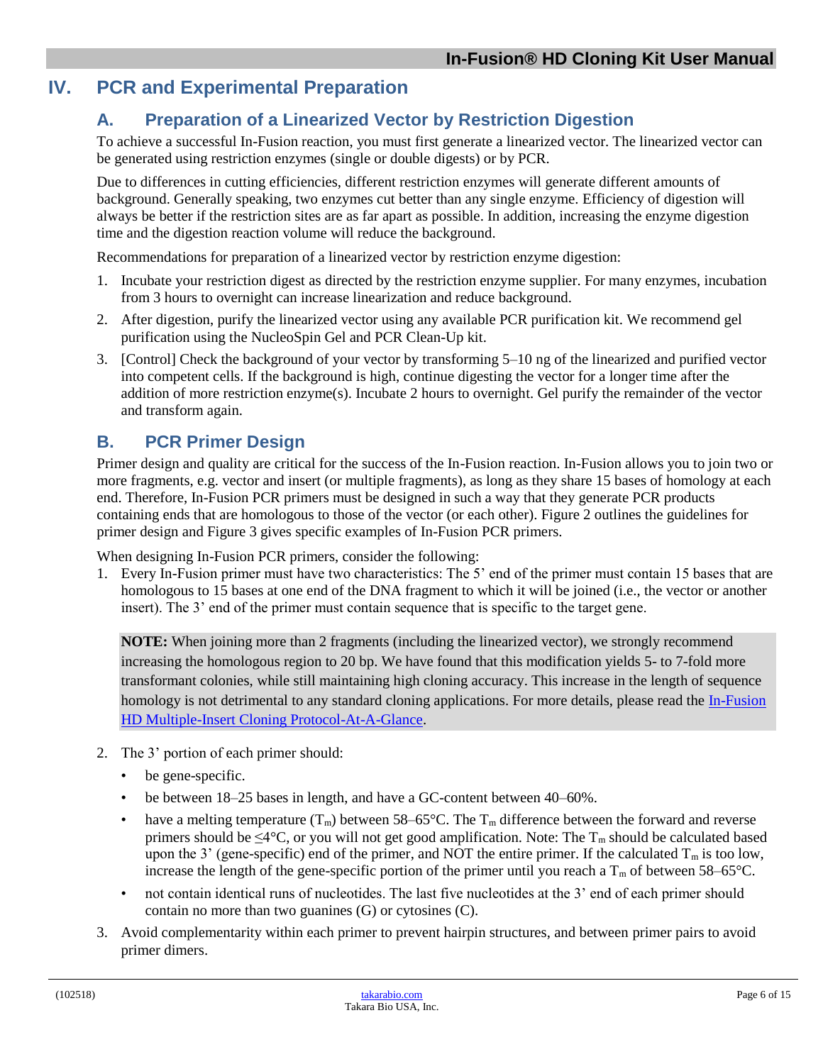# <span id="page-5-1"></span><span id="page-5-0"></span>**IV. PCR and Experimental Preparation**

## **A. Preparation of a Linearized Vector by Restriction Digestion**

To achieve a successful In-Fusion reaction, you must first generate a linearized vector. The linearized vector can be generated using restriction enzymes (single or double digests) or by PCR.

Due to differences in cutting efficiencies, different restriction enzymes will generate different amounts of background. Generally speaking, two enzymes cut better than any single enzyme. Efficiency of digestion will always be better if the restriction sites are as far apart as possible. In addition, increasing the enzyme digestion time and the digestion reaction volume will reduce the background.

Recommendations for preparation of a linearized vector by restriction enzyme digestion:

- 1. Incubate your restriction digest as directed by the restriction enzyme supplier. For many enzymes, incubation from 3 hours to overnight can increase linearization and reduce background.
- 2. After digestion, purify the linearized vector using any available PCR purification kit. We recommend gel purification using the NucleoSpin Gel and PCR Clean-Up kit.
- 3. [Control] Check the background of your vector by transforming 5–10 ng of the linearized and purified vector into competent cells. If the background is high, continue digesting the vector for a longer time after the addition of more restriction enzyme(s). Incubate 2 hours to overnight. Gel purify the remainder of the vector and transform again.

# <span id="page-5-2"></span>**B. PCR Primer Design**

Primer design and quality are critical for the success of the In-Fusion reaction. In-Fusion allows you to join two or more fragments, e.g. vector and insert (or multiple fragments), as long as they share 15 bases of homology at each end. Therefore, In-Fusion PCR primers must be designed in such a way that they generate PCR products containing ends that are homologous to those of the vector (or each other). Figure 2 outlines the guidelines for primer design and Figure 3 gives specific examples of In-Fusion PCR primers.

When designing In-Fusion PCR primers, consider the following:

1. Every In-Fusion primer must have two characteristics: The 5' end of the primer must contain 15 bases that are homologous to 15 bases at one end of the DNA fragment to which it will be joined (i.e., the vector or another insert). The 3' end of the primer must contain sequence that is specific to the target gene.

**NOTE:** When joining more than 2 fragments (including the linearized vector), we strongly recommend increasing the homologous region to 20 bp. We have found that this modification yields 5- to 7-fold more transformant colonies, while still maintaining high cloning accuracy. This increase in the length of sequence homology is not detrimental to any standard cloning applications. For more details, please read the In-Fusion [HD Multiple-Insert Cloning Protocol-At-A-Glance.](http://www.takarabio.com/resourcedocument/x32740)

- 2. The 3' portion of each primer should:
	- be gene-specific.
	- be between 18–25 bases in length, and have a GC-content between 40–60%.
	- have a melting temperature  $(T_m)$  between 58–65°C. The  $T_m$  difference between the forward and reverse primers should be  $\leq 4^{\circ}\text{C}$ , or you will not get good amplification. Note: The T<sub>m</sub> should be calculated based upon the 3' (gene-specific) end of the primer, and NOT the entire primer. If the calculated  $T_m$  is too low, increase the length of the gene-specific portion of the primer until you reach a  $T_m$  of between 58–65°C.
	- not contain identical runs of nucleotides. The last five nucleotides at the 3' end of each primer should contain no more than two guanines (G) or cytosines (C).
- 3. Avoid complementarity within each primer to prevent hairpin structures, and between primer pairs to avoid primer dimers.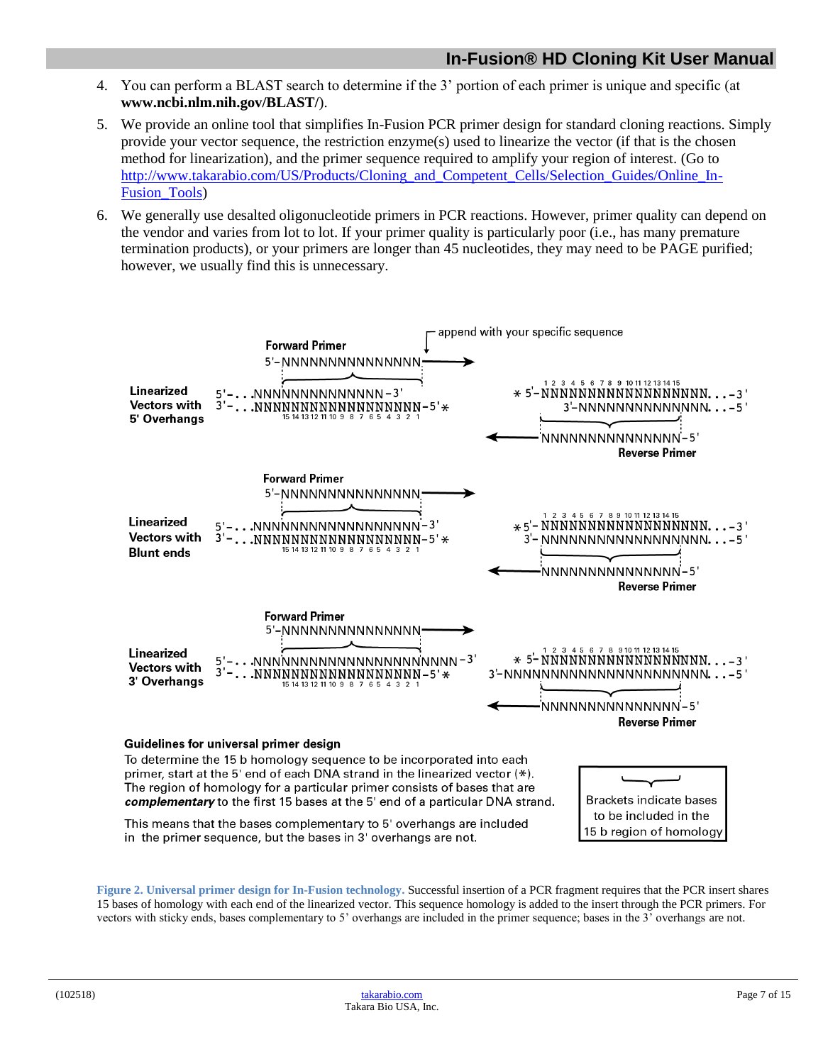- 4. You can perform a BLAST search to determine if the 3' portion of each primer is unique and specific (at **www.ncbi.nlm.nih.gov/BLAST/**).
- 5. We provide an online tool that simplifies In-Fusion PCR primer design for standard cloning reactions. Simply provide your vector sequence, the restriction enzyme(s) used to linearize the vector (if that is the chosen method for linearization), and the primer sequence required to amplify your region of interest. (Go to [http://www.takarabio.com/US/Products/Cloning\\_and\\_Competent\\_Cells/Selection\\_Guides/Online\\_In-](https://www.takarabio.com/learning-centers/cloning/in-fusion-cloning-tools)[Fusion\\_Tools\)](https://www.takarabio.com/learning-centers/cloning/in-fusion-cloning-tools)
- 6. We generally use desalted oligonucleotide primers in PCR reactions. However, primer quality can depend on the vendor and varies from lot to lot. If your primer quality is particularly poor (i.e., has many premature termination products), or your primers are longer than 45 nucleotides, they may need to be PAGE purified; however, we usually find this is unnecessary.



This means that the bases complementary to 5' overhangs are included in the primer sequence, but the bases in 3' overhangs are not.

<span id="page-6-0"></span>**Figure 2. Universal primer design for In-Fusion technology.** Successful insertion of a PCR fragment requires that the PCR insert shares 15 bases of homology with each end of the linearized vector. This sequence homology is added to the insert through the PCR primers. For vectors with sticky ends, bases complementary to 5' overhangs are included in the primer sequence; bases in the 3' overhangs are not.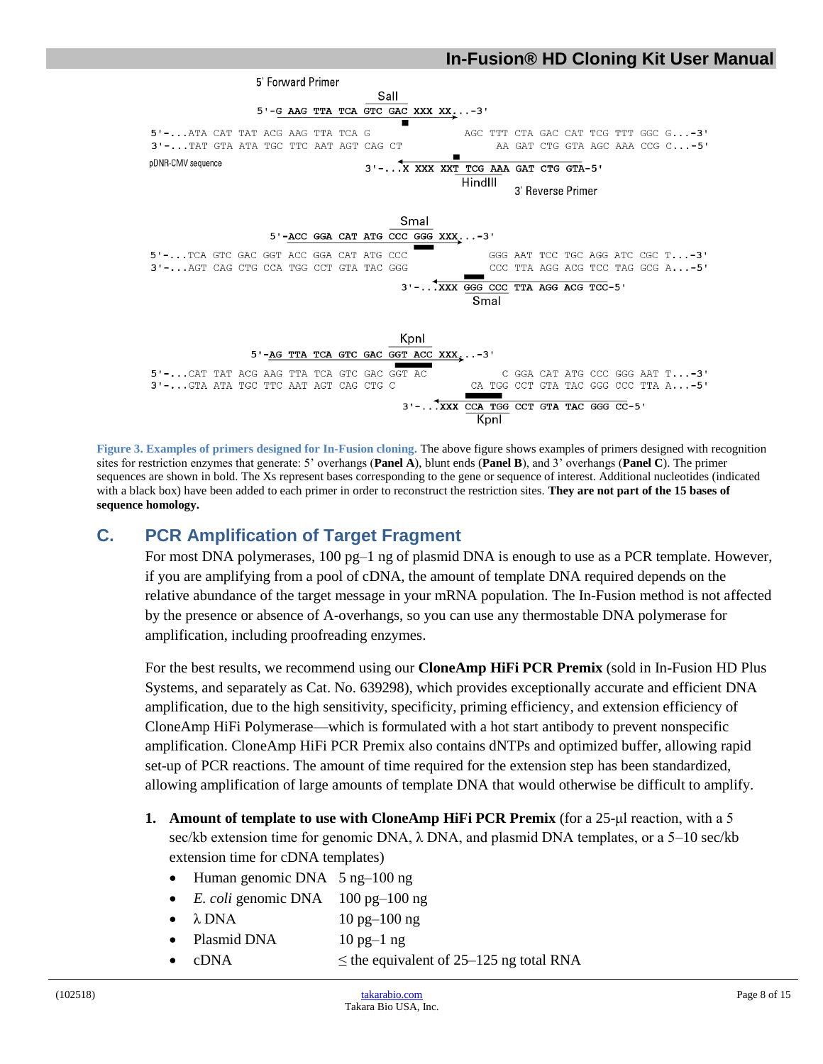

<span id="page-7-1"></span>**Figure 3. Examples of primers designed for In-Fusion cloning.** The above figure shows examples of primers designed with recognition sites for restriction enzymes that generate: 5' overhangs (**Panel A**), blunt ends (**Panel B**), and 3' overhangs (**Panel C**). The primer sequences are shown in bold. The Xs represent bases corresponding to the gene or sequence of interest. Additional nucleotides (indicated with a black box) have been added to each primer in order to reconstruct the restriction sites. **They are not part of the 15 bases of sequence homology.**

## <span id="page-7-0"></span>**C. PCR Amplification of Target Fragment**

For most DNA polymerases, 100 pg-1 ng of plasmid DNA is enough to use as a PCR template. However, if you are amplifying from a pool of cDNA, the amount of template DNA required depends on the relative abundance of the target message in your mRNA population. The In-Fusion method is not affected by the presence or absence of A-overhangs, so you can use any thermostable DNA polymerase for amplification, including proofreading enzymes.

For the best results, we recommend using our **CloneAmp HiFi PCR Premix** (sold in In-Fusion HD Plus Systems, and separately as Cat. No. 639298), which provides exceptionally accurate and efficient DNA amplification, due to the high sensitivity, specificity, priming efficiency, and extension efficiency of CloneAmp HiFi Polymerase—which is formulated with a hot start antibody to prevent nonspecific amplification. CloneAmp HiFi PCR Premix also contains dNTPs and optimized buffer, allowing rapid set-up of PCR reactions. The amount of time required for the extension step has been standardized, allowing amplification of large amounts of template DNA that would otherwise be difficult to amplify.

- **1. Amount of template to use with CloneAmp HiFi PCR Premix** (for a 25-μl reaction, with a 5 sec/kb extension time for genomic DNA,  $\lambda$  DNA, and plasmid DNA templates, or a 5–10 sec/kb extension time for cDNA templates)
	- Human genomic DNA 5 ng-100 ng
	- *E. coli* genomic DNA 100 pg–100 ng
	- $\lambda$  DNA  $10$  pg–100 ng
	- Plasmid DNA 10 pg-1 ng
	- cDNA  $\leq$  the equivalent of 25–125 ng total RNA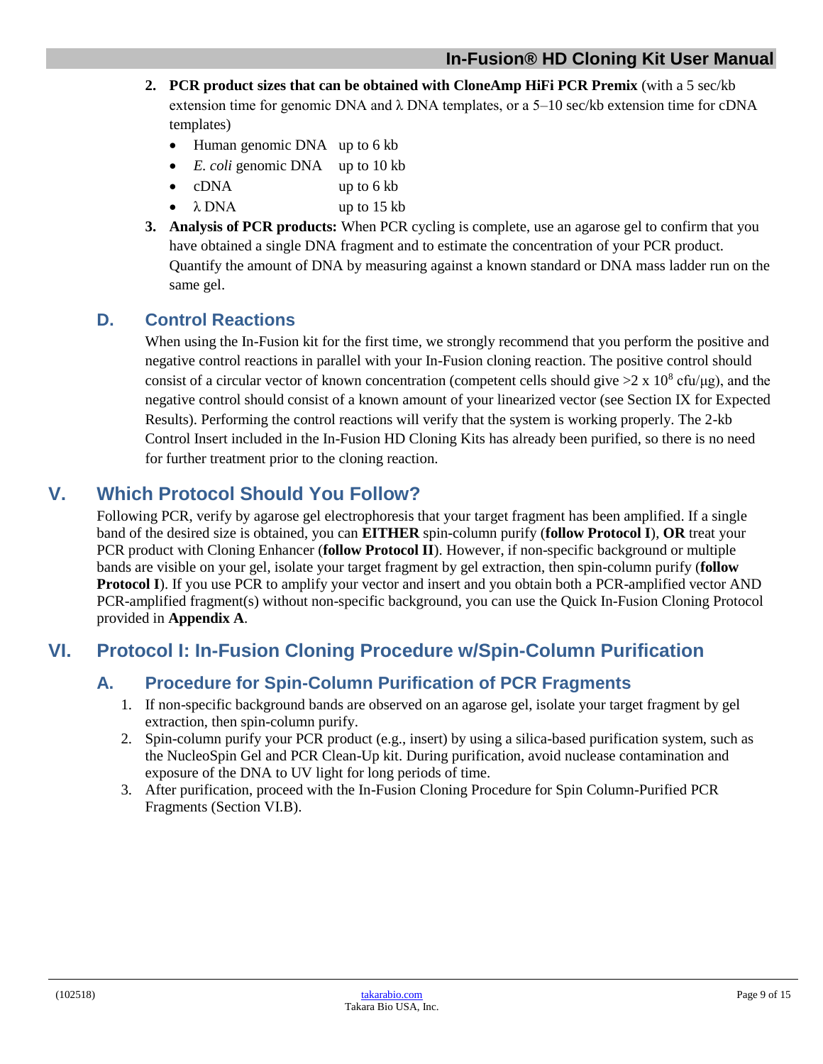- **2. PCR product sizes that can be obtained with CloneAmp HiFi PCR Premix** (with a 5 sec/kb extension time for genomic DNA and  $\lambda$  DNA templates, or a 5–10 sec/kb extension time for cDNA templates)
	- Human genomic DNA up to 6 kb
	- *E. coli* genomic DNA up to 10 kb
	- cDNA up to 6 kb
	- $\lambda$  DNA up to 15 kb
- **3. Analysis of PCR products:** When PCR cycling is complete, use an agarose gel to confirm that you have obtained a single DNA fragment and to estimate the concentration of your PCR product. Quantify the amount of DNA by measuring against a known standard or DNA mass ladder run on the same gel.

# <span id="page-8-0"></span>**D. Control Reactions**

When using the In-Fusion kit for the first time, we strongly recommend that you perform the positive and negative control reactions in parallel with your In-Fusion cloning reaction. The positive control should consist of a circular vector of known concentration (competent cells should give  $>2 \times 10^8$  cfu/μg), and the negative control should consist of a known amount of your linearized vector (see Section IX for Expected Results). Performing the control reactions will verify that the system is working properly. The 2-kb Control Insert included in the In-Fusion HD Cloning Kits has already been purified, so there is no need for further treatment prior to the cloning reaction.

# <span id="page-8-1"></span>**V. Which Protocol Should You Follow?**

Following PCR, verify by agarose gel electrophoresis that your target fragment has been amplified. If a single band of the desired size is obtained, you can **EITHER** spin-column purify (**follow Protocol I**), **OR** treat your PCR product with Cloning Enhancer (**follow Protocol II**). However, if non-specific background or multiple bands are visible on your gel, isolate your target fragment by gel extraction, then spin-column purify (**follow Protocol I**). If you use PCR to amplify your vector and insert and you obtain both a PCR-amplified vector AND PCR-amplified fragment(s) without non-specific background, you can use the Quick In-Fusion Cloning Protocol provided in **Appendix A**.

# <span id="page-8-3"></span><span id="page-8-2"></span>**VI. Protocol I: In-Fusion Cloning Procedure w/Spin-Column Purification**

# **A. Procedure for Spin-Column Purification of PCR Fragments**

- 1. If non-specific background bands are observed on an agarose gel, isolate your target fragment by gel extraction, then spin-column purify.
- 2. Spin-column purify your PCR product (e.g., insert) by using a silica-based purification system, such as the NucleoSpin Gel and PCR Clean-Up kit. During purification, avoid nuclease contamination and exposure of the DNA to UV light for long periods of time.
- 3. After purification, proceed with the In-Fusion Cloning Procedure for Spin Column-Purified PCR Fragments (Section VI.B).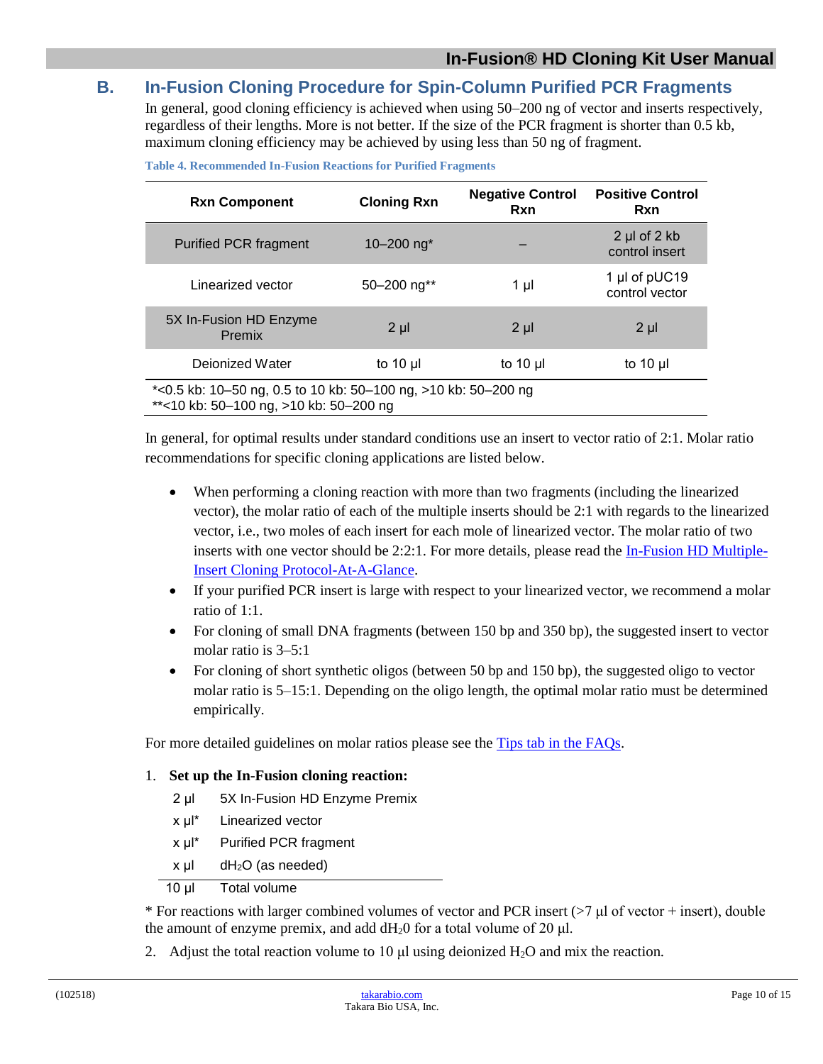## <span id="page-9-1"></span><span id="page-9-0"></span>**B. In-Fusion Cloning Procedure for Spin-Column Purified PCR Fragments**

In general, good cloning efficiency is achieved when using 50–200 ng of vector and inserts respectively, regardless of their lengths. More is not better. If the size of the PCR fragment is shorter than 0.5 kb, maximum cloning efficiency may be achieved by using less than 50 ng of fragment.

| <b>Rxn Component</b>                                                                                     | <b>Cloning Rxn</b>        | <b>Negative Control</b><br>Rxn | <b>Positive Control</b><br>Rxn  |  |  |
|----------------------------------------------------------------------------------------------------------|---------------------------|--------------------------------|---------------------------------|--|--|
| <b>Purified PCR fragment</b>                                                                             | 10 $-200$ ng <sup>*</sup> |                                | 2 µl of 2 kb<br>control insert  |  |  |
| Linearized vector                                                                                        | $50 - 200$ ng**           | 1 µl                           | 1 µl of pUC19<br>control vector |  |  |
| 5X In-Fusion HD Enzyme<br>Premix                                                                         | $2 \mu$                   | $2 \mu$                        | $2 \mu$                         |  |  |
| Dejonized Water<br>to 10 $\mu$<br>to 10 $\mu$<br>to 10 $\mu$                                             |                           |                                |                                 |  |  |
| *<0.5 kb: 10-50 ng, 0.5 to 10 kb: 50-100 ng, >10 kb: 50-200 ng<br>**<10 kb: 50-100 ng, >10 kb: 50-200 ng |                           |                                |                                 |  |  |

**Table 4. Recommended In-Fusion Reactions for Purified Fragments**

In general, for optimal results under standard conditions use an insert to vector ratio of 2:1. Molar ratio recommendations for specific cloning applications are listed below.

- When performing a cloning reaction with more than two fragments (including the linearized vector), the molar ratio of each of the multiple inserts should be 2:1 with regards to the linearized vector, i.e., two moles of each insert for each mole of linearized vector. The molar ratio of two inserts with one vector should be 2:2:1. For more details, please read the [In-Fusion HD Multiple-](http://www.takarabio.com/resourcedocument/x32740)[Insert Cloning Protocol-At-A-Glance.](http://www.takarabio.com/resourcedocument/x32740)
- If your purified PCR insert is large with respect to your linearized vector, we recommend a molar ratio of 1:1.
- For cloning of small DNA fragments (between 150 bp and 350 bp), the suggested insert to vector molar ratio is 3–5:1
- For cloning of short synthetic oligos (between 50 bp and 150 bp), the suggested oligo to vector molar ratio is 5–15:1. Depending on the oligo length, the optimal molar ratio must be determined empirically.

For more detailed guidelines on molar ratios please see the [Tips tab in the FAQs.](https://www.takarabio.com/learning-centers/cloning/in%E2%80%90fusion-cloning-faqs)

#### 1. **Set up the In-Fusion cloning reaction:**

- 2 μl 5X In-Fusion HD Enzyme Premix
- x μl\* Linearized vector
- x μl\* Purified PCR fragment
- x μl dH2O (as needed)

10 μl Total volume

\* For reactions with larger combined volumes of vector and PCR insert (>7 μl of vector + insert), double the amount of enzyme premix, and add  $dH_20$  for a total volume of 20  $\mu$ l.

2. Adjust the total reaction volume to 10  $\mu$ l using deionized H<sub>2</sub>O and mix the reaction.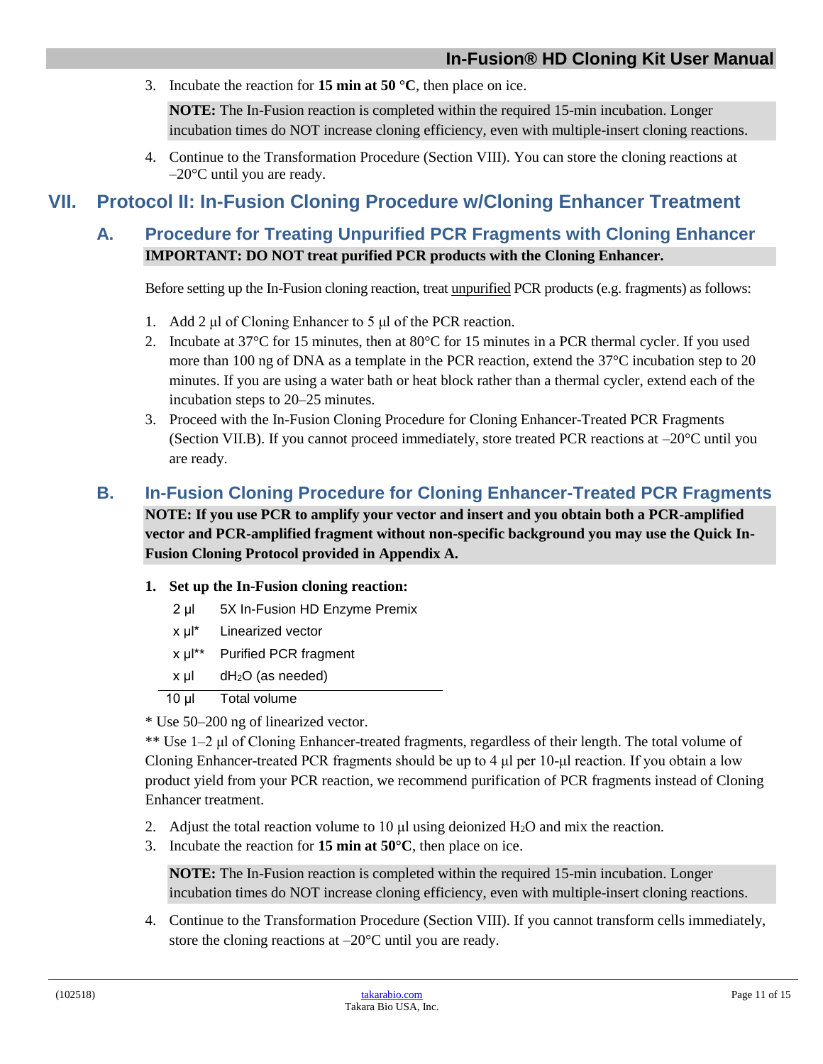3. Incubate the reaction for **15 min at 50 °C**, then place on ice.

**NOTE:** The In-Fusion reaction is completed within the required 15-min incubation. Longer incubation times do NOT increase cloning efficiency, even with multiple-insert cloning reactions.

4. Continue to the Transformation Procedure (Section VIII). You can store the cloning reactions at  $-20$ °C until you are ready.

# <span id="page-10-1"></span><span id="page-10-0"></span>**VII. Protocol II: In-Fusion Cloning Procedure w/Cloning Enhancer Treatment**

# **A. Procedure for Treating Unpurified PCR Fragments with Cloning Enhancer IMPORTANT: DO NOT treat purified PCR products with the Cloning Enhancer.**

Before setting up the In-Fusion cloning reaction, treat unpurified PCR products (e.g. fragments) as follows:

- 1. Add 2 μl of Cloning Enhancer to 5 μl of the PCR reaction.
- 2. Incubate at  $37^{\circ}$ C for 15 minutes, then at  $80^{\circ}$ C for 15 minutes in a PCR thermal cycler. If you used more than 100 ng of DNA as a template in the PCR reaction, extend the 37°C incubation step to 20 minutes. If you are using a water bath or heat block rather than a thermal cycler, extend each of the incubation steps to 20–25 minutes.
- 3. Proceed with the In-Fusion Cloning Procedure for Cloning Enhancer-Treated PCR Fragments (Section VII.B). If you cannot proceed immediately, store treated PCR reactions at  $-20^{\circ}$ C until you are ready.

# <span id="page-10-2"></span>**B. In-Fusion Cloning Procedure for Cloning Enhancer-Treated PCR Fragments**

**NOTE: If you use PCR to amplify your vector and insert and you obtain both a PCR-amplified vector and PCR-amplified fragment without non-specific background you may use the Quick In-Fusion Cloning Protocol provided in Appendix A.**

#### **1. Set up the In-Fusion cloning reaction:**

- 2 μl 5X In-Fusion HD Enzyme Premix
- x μl\* Linearized vector
- x μl\*\* Purified PCR fragment
- x μl dH2O (as needed)
- 10 μl Total volume

\* Use 50–200 ng of linearized vector.

\*\* Use 1–2 μl of Cloning Enhancer-treated fragments, regardless of their length. The total volume of Cloning Enhancer-treated PCR fragments should be up to 4 μl per 10-μl reaction. If you obtain a low product yield from your PCR reaction, we recommend purification of PCR fragments instead of Cloning Enhancer treatment.

- 2. Adjust the total reaction volume to 10  $\mu$ l using deionized H<sub>2</sub>O and mix the reaction.
- 3. Incubate the reaction for **15 min at 50°C**, then place on ice.

**NOTE:** The In-Fusion reaction is completed within the required 15-min incubation. Longer incubation times do NOT increase cloning efficiency, even with multiple-insert cloning reactions.

4. Continue to the Transformation Procedure (Section VIII). If you cannot transform cells immediately, store the cloning reactions at –20°C until you are ready.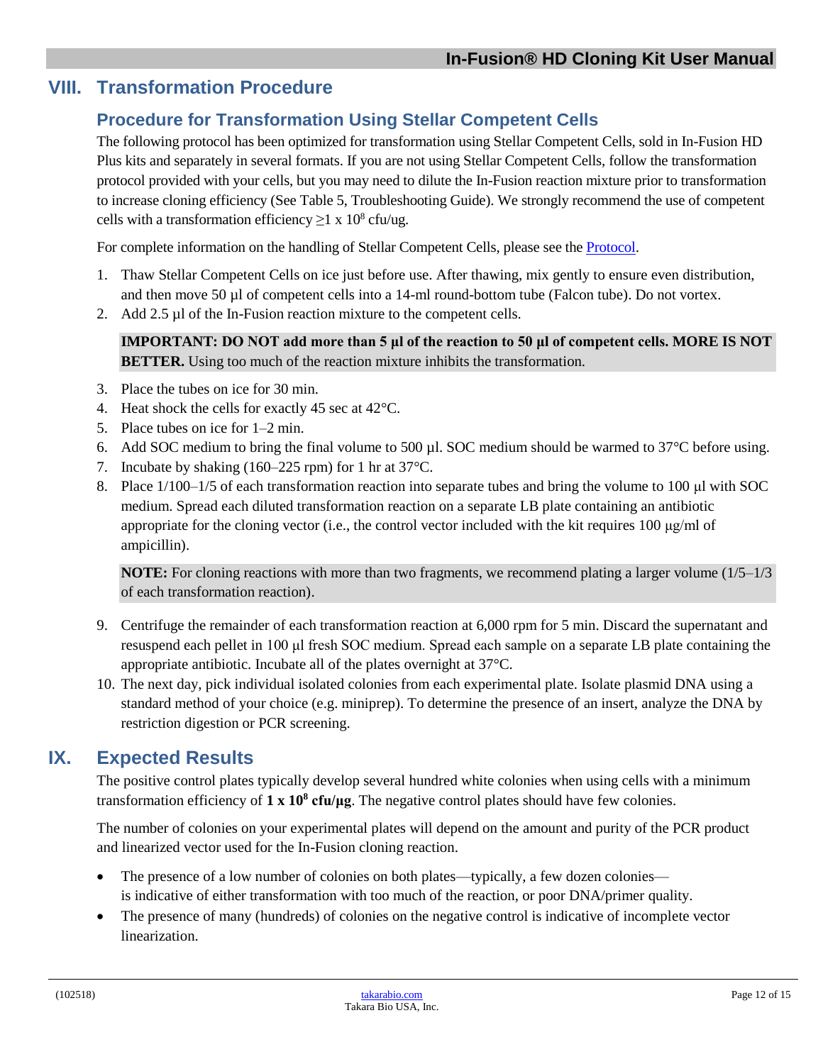# <span id="page-11-1"></span><span id="page-11-0"></span>**VIII. Transformation Procedure**

## **Procedure for Transformation Using Stellar Competent Cells**

The following protocol has been optimized for transformation using Stellar Competent Cells, sold in In-Fusion HD Plus kits and separately in several formats. If you are not using Stellar Competent Cells, follow the transformation protocol provided with your cells, but you may need to dilute the In-Fusion reaction mixture prior to transformation to increase cloning efficiency (See Table 5, Troubleshooting Guide). We strongly recommend the use of competent cells with a transformation efficiency  $\geq 1 \times 10^8$  cfu/ug.

For complete information on the handling of Stellar Competent Cells, please see the [Protocol.](http://www.takarabio.com/resourcedocument/x33081)

- 1. Thaw Stellar Competent Cells on ice just before use. After thawing, mix gently to ensure even distribution, and then move 50 µl of competent cells into a 14-ml round-bottom tube (Falcon tube). Do not vortex.
- 2. Add 2.5 µl of the In-Fusion reaction mixture to the competent cells.

**IMPORTANT: DO NOT add more than 5 μl of the reaction to 50 μl of competent cells. MORE IS NOT BETTER.** Using too much of the reaction mixture inhibits the transformation.

- 3. Place the tubes on ice for 30 min.
- 4. Heat shock the cells for exactly 45 sec at 42°C.
- 5. Place tubes on ice for 1–2 min.
- 6. Add SOC medium to bring the final volume to 500 µl. SOC medium should be warmed to  $37^{\circ}$ C before using.
- 7. Incubate by shaking (160–225 rpm) for 1 hr at 37°C.
- 8. Place 1/100–1/5 of each transformation reaction into separate tubes and bring the volume to 100 μl with SOC medium. Spread each diluted transformation reaction on a separate LB plate containing an antibiotic appropriate for the cloning vector (i.e., the control vector included with the kit requires 100  $\mu$ g/ml of ampicillin).

**NOTE:** For cloning reactions with more than two fragments, we recommend plating a larger volume (1/5–1/3) of each transformation reaction).

- 9. Centrifuge the remainder of each transformation reaction at 6,000 rpm for 5 min. Discard the supernatant and resuspend each pellet in 100 μl fresh SOC medium. Spread each sample on a separate LB plate containing the appropriate antibiotic. Incubate all of the plates overnight at 37°C.
- 10. The next day, pick individual isolated colonies from each experimental plate. Isolate plasmid DNA using a standard method of your choice (e.g. miniprep). To determine the presence of an insert, analyze the DNA by restriction digestion or PCR screening.

# <span id="page-11-2"></span>**IX. Expected Results**

The positive control plates typically develop several hundred white colonies when using cells with a minimum transformation efficiency of **1 x 10<sup>8</sup> cfu/μg**. The negative control plates should have few colonies.

The number of colonies on your experimental plates will depend on the amount and purity of the PCR product and linearized vector used for the In-Fusion cloning reaction.

- The presence of a low number of colonies on both plates—typically, a few dozen colonies is indicative of either transformation with too much of the reaction, or poor DNA/primer quality.
- The presence of many (hundreds) of colonies on the negative control is indicative of incomplete vector linearization.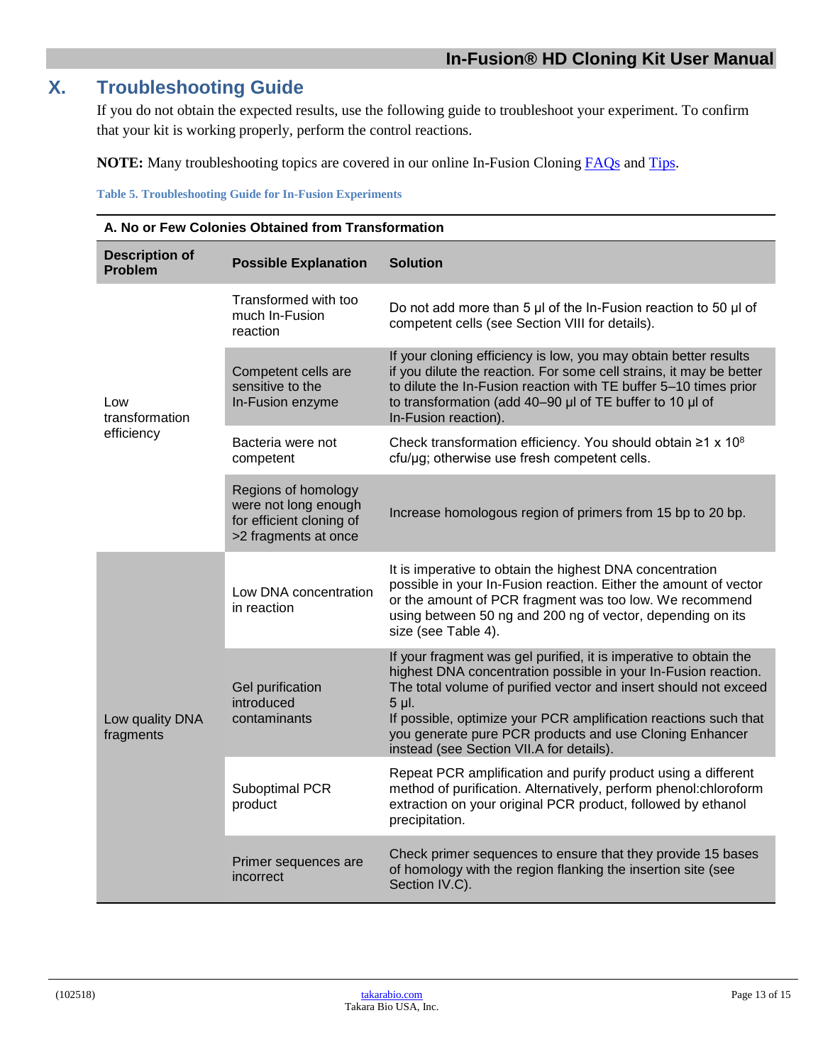# <span id="page-12-0"></span>**X. Troubleshooting Guide**

If you do not obtain the expected results, use the following guide to troubleshoot your experiment. To confirm that your kit is working properly, perform the control reactions.

**NOTE:** Many troubleshooting topics are covered in our online In-Fusion Cloning [FAQs](https://www.takarabio.com/learning-centers/cloning/in%E2%80%90fusion-cloning-faqs) and [Tips.](https://www.takarabio.com/learning-centers/cloning/in%E2%80%90fusion-cloning-tips)

<span id="page-12-1"></span>**Table 5. Troubleshooting Guide for In-Fusion Experiments**

| A. No or Few Colonies Obtained from Transformation |                                                                                                 |                                                                                                                                                                                                                                                                                                                                                                                                   |  |  |
|----------------------------------------------------|-------------------------------------------------------------------------------------------------|---------------------------------------------------------------------------------------------------------------------------------------------------------------------------------------------------------------------------------------------------------------------------------------------------------------------------------------------------------------------------------------------------|--|--|
| <b>Description of</b><br><b>Problem</b>            | <b>Possible Explanation</b>                                                                     | <b>Solution</b>                                                                                                                                                                                                                                                                                                                                                                                   |  |  |
|                                                    | Transformed with too<br>much In-Fusion<br>reaction                                              | Do not add more than 5 µl of the In-Fusion reaction to 50 µl of<br>competent cells (see Section VIII for details).                                                                                                                                                                                                                                                                                |  |  |
| Low<br>transformation                              | Competent cells are<br>sensitive to the<br>In-Fusion enzyme                                     | If your cloning efficiency is low, you may obtain better results<br>if you dilute the reaction. For some cell strains, it may be better<br>to dilute the In-Fusion reaction with TE buffer 5-10 times prior<br>to transformation (add 40-90 µl of TE buffer to 10 µl of<br>In-Fusion reaction).                                                                                                   |  |  |
| efficiency                                         | Bacteria were not<br>competent                                                                  | Check transformation efficiency. You should obtain $\geq 1 \times 10^8$<br>cfu/µg; otherwise use fresh competent cells.                                                                                                                                                                                                                                                                           |  |  |
|                                                    | Regions of homology<br>were not long enough<br>for efficient cloning of<br>>2 fragments at once | Increase homologous region of primers from 15 bp to 20 bp.                                                                                                                                                                                                                                                                                                                                        |  |  |
|                                                    | Low DNA concentration<br>in reaction                                                            | It is imperative to obtain the highest DNA concentration<br>possible in your In-Fusion reaction. Either the amount of vector<br>or the amount of PCR fragment was too low. We recommend<br>using between 50 ng and 200 ng of vector, depending on its<br>size (see Table 4).                                                                                                                      |  |  |
| Low quality DNA<br>fragments                       | <b>Gel purification</b><br>introduced<br>contaminants                                           | If your fragment was gel purified, it is imperative to obtain the<br>highest DNA concentration possible in your In-Fusion reaction.<br>The total volume of purified vector and insert should not exceed<br>$5$ $\mu$ .<br>If possible, optimize your PCR amplification reactions such that<br>you generate pure PCR products and use Cloning Enhancer<br>instead (see Section VII.A for details). |  |  |
|                                                    | Suboptimal PCR<br>product                                                                       | Repeat PCR amplification and purify product using a different<br>method of purification. Alternatively, perform phenol:chloroform<br>extraction on your original PCR product, followed by ethanol<br>precipitation.                                                                                                                                                                               |  |  |
|                                                    | Primer sequences are<br>incorrect                                                               | Check primer sequences to ensure that they provide 15 bases<br>of homology with the region flanking the insertion site (see<br>Section IV.C).                                                                                                                                                                                                                                                     |  |  |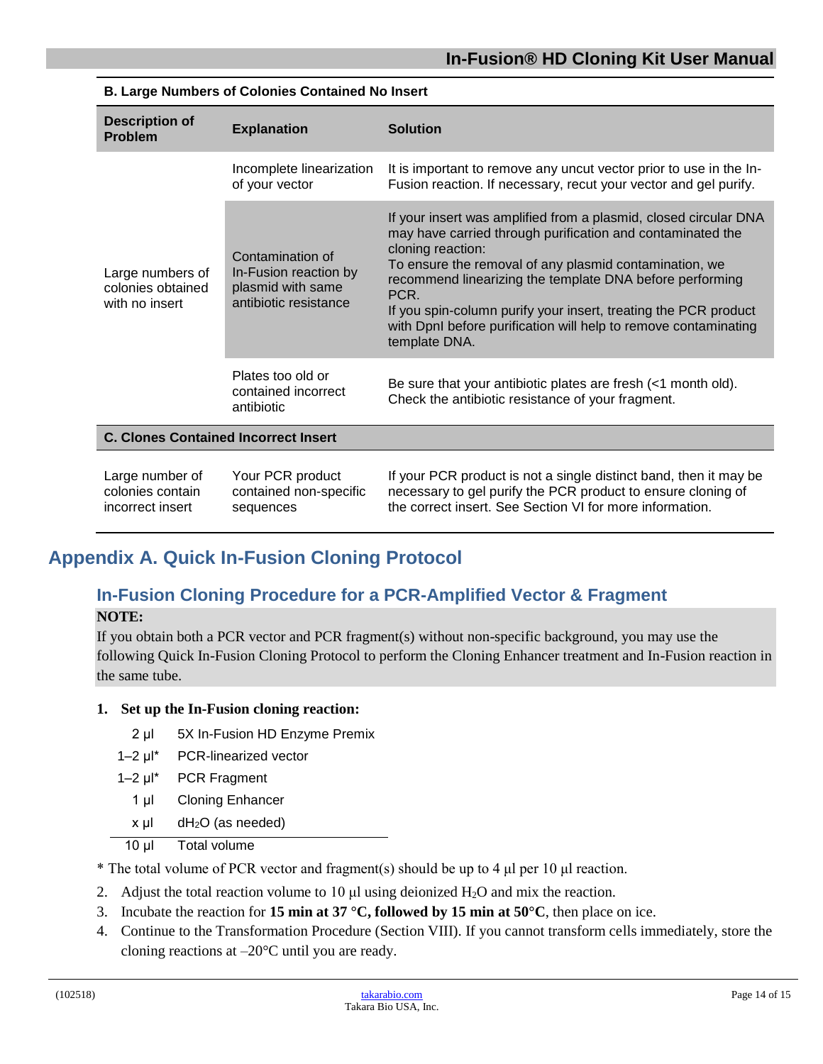| <b>Description of</b><br><b>Problem</b>                 | <b>Explanation</b>                                                                      | <b>Solution</b>                                                                                                                                                                                                                                                                                                                                                                                                                          |  |  |
|---------------------------------------------------------|-----------------------------------------------------------------------------------------|------------------------------------------------------------------------------------------------------------------------------------------------------------------------------------------------------------------------------------------------------------------------------------------------------------------------------------------------------------------------------------------------------------------------------------------|--|--|
|                                                         | Incomplete linearization<br>of your vector                                              | It is important to remove any uncut vector prior to use in the In-<br>Fusion reaction. If necessary, recut your vector and gel purify.                                                                                                                                                                                                                                                                                                   |  |  |
| Large numbers of<br>colonies obtained<br>with no insert | Contamination of<br>In-Fusion reaction by<br>plasmid with same<br>antibiotic resistance | If your insert was amplified from a plasmid, closed circular DNA<br>may have carried through purification and contaminated the<br>cloning reaction:<br>To ensure the removal of any plasmid contamination, we<br>recommend linearizing the template DNA before performing<br>PCR.<br>If you spin-column purify your insert, treating the PCR product<br>with DpnI before purification will help to remove contaminating<br>template DNA. |  |  |
|                                                         | Plates too old or<br>contained incorrect<br>antibiotic                                  | Be sure that your antibiotic plates are fresh (<1 month old).<br>Check the antibiotic resistance of your fragment.                                                                                                                                                                                                                                                                                                                       |  |  |
| <b>C. Clones Contained Incorrect Insert</b>             |                                                                                         |                                                                                                                                                                                                                                                                                                                                                                                                                                          |  |  |
| Large number of<br>colonies contain<br>incorrect insert | Your PCR product<br>contained non-specific<br>sequences                                 | If your PCR product is not a single distinct band, then it may be<br>necessary to gel purify the PCR product to ensure cloning of<br>the correct insert. See Section VI for more information.                                                                                                                                                                                                                                            |  |  |

#### **B. Large Numbers of Colonies Contained No Insert**

# <span id="page-13-1"></span><span id="page-13-0"></span>**Appendix A. Quick In-Fusion Cloning Protocol**

## **In-Fusion Cloning Procedure for a PCR-Amplified Vector & Fragment NOTE:**

If you obtain both a PCR vector and PCR fragment(s) without non-specific background, you may use the following Quick In-Fusion Cloning Protocol to perform the Cloning Enhancer treatment and In-Fusion reaction in the same tube.

#### **1. Set up the In-Fusion cloning reaction:**

- 2 μl 5X In-Fusion HD Enzyme Premix
- 1–2 μl\* PCR-linearized vector
- 1–2 μl\* PCR Fragment
- 1 μl Cloning Enhancer
- x μl dH2O (as needed)
- 10 μl Total volume

\* The total volume of PCR vector and fragment(s) should be up to 4 μl per 10 μl reaction.

- 2. Adjust the total reaction volume to 10  $\mu$ l using deionized H<sub>2</sub>O and mix the reaction.
- 3. Incubate the reaction for **15 min at 37 °C, followed by 15 min at 50°C**, then place on ice.
- 4. Continue to the Transformation Procedure (Section VIII). If you cannot transform cells immediately, store the cloning reactions at –20°C until you are ready.